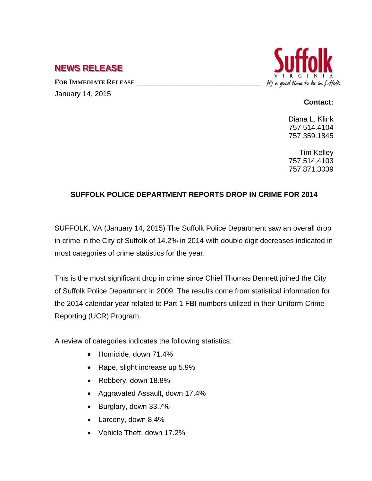## **NEWS RELEASE**

FOR IMMEDIATE RELEASE January 14, 2015



## **Contact:**

Diana L. Klink 757.514.4104 757.359.1845

Tim Kelley 757.514.4103 757.871.3039

## **SUFFOLK POLICE DEPARTMENT REPORTS DROP IN CRIME FOR 2014**

SUFFOLK, VA (January 14, 2015) The Suffolk Police Department saw an overall drop in crime in the City of Suffolk of 14.2% in 2014 with double digit decreases indicated in most categories of crime statistics for the year.

This is the most significant drop in crime since Chief Thomas Bennett joined the City of Suffolk Police Department in 2009. The results come from statistical information for the 2014 calendar year related to Part 1 FBI numbers utilized in their Uniform Crime Reporting (UCR) Program.

A review of categories indicates the following statistics:

- Homicide, down 71.4%
- Rape, slight increase up 5.9%
- Robbery, down 18.8%
- Aggravated Assault, down 17.4%
- Burglary, down 33.7%
- Larceny, down 8.4%
- Vehicle Theft, down 17.2%